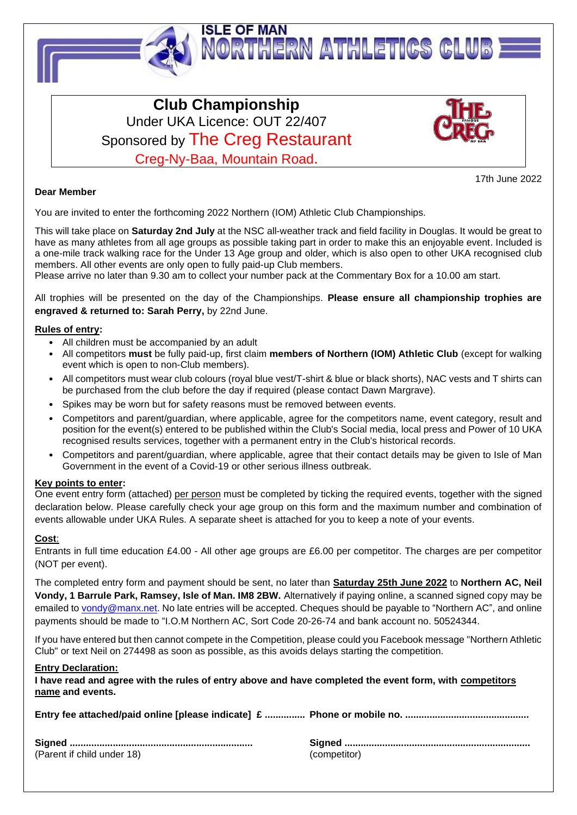

# **Club Championship** Under UKA Licence: OUT 22/407 Sponsored by The Creg Restaurant Creg-Ny-Baa, Mountain Road.



17th June 2022

### **Dear Member**

You are invited to enter the forthcoming 2022 Northern (IOM) Athletic Club Championships.

This will take place on **Saturday 2nd July** at the NSC all-weather track and field facility in Douglas. It would be great to have as many athletes from all age groups as possible taking part in order to make this an enjoyable event. Included is a one-mile track walking race for the Under 13 Age group and older, which is also open to other UKA recognised club members. All other events are only open to fully paid-up Club members.

Please arrive no later than 9.30 am to collect your number pack at the Commentary Box for a 10.00 am start.

All trophies will be presented on the day of the Championships. **Please ensure all championship trophies are engraved & returned to: Sarah Perry,** by 22nd June.

#### **Rules of entry:**

- All children must be accompanied by an adult
- All competitors **must** be fully paid-up, first claim **members of Northern (IOM) Athletic Club** (except for walking event which is open to non-Club members).
- All competitors must wear club colours (royal blue vest/T-shirt & blue or black shorts), NAC vests and T shirts can be purchased from the club before the day if required (please contact Dawn Margrave).
- Spikes may be worn but for safety reasons must be removed between events.
- Competitors and parent/guardian, where applicable, agree for the competitors name, event category, result and position for the event(s) entered to be published within the Club's Social media, local press and Power of 10 UKA recognised results services, together with a permanent entry in the Club's historical records.
- Competitors and parent/guardian, where applicable, agree that their contact details may be given to Isle of Man Government in the event of a Covid-19 or other serious illness outbreak.

#### **Key points to enter:**

One event entry form (attached) per person must be completed by ticking the required events, together with the signed declaration below. Please carefully check your age group on this form and the maximum number and combination of events allowable under UKA Rules. A separate sheet is attached for you to keep a note of your events.

### **Cost**:

Entrants in full time education £4.00 - All other age groups are £6.00 per competitor. The charges are per competitor (NOT per event).

The completed entry form and payment should be sent, no later than **Saturday 25th June 2022** to **Northern AC, Neil Vondy, 1 Barrule Park, Ramsey, Isle of Man. IM8 2BW.** Alternatively if paying online, a scanned signed copy may be emailed to [vondy@manx.net.](mailto:vondy@manx.net) No late entries will be accepted. Cheques should be payable to "Northern AC", and online payments should be made to "I.O.M Northern AC, Sort Code 20-26-74 and bank account no. 50524344.

If you have entered but then cannot compete in the Competition, please could you Facebook message "Northern Athletic Club" or text Neil on 274498 as soon as possible, as this avoids delays starting the competition.

#### **Entry Declaration:**

**I have read and agree with the rules of entry above and have completed the event form, with competitors name and events.**

| (Parent if child under 18) | (competitor) |
|----------------------------|--------------|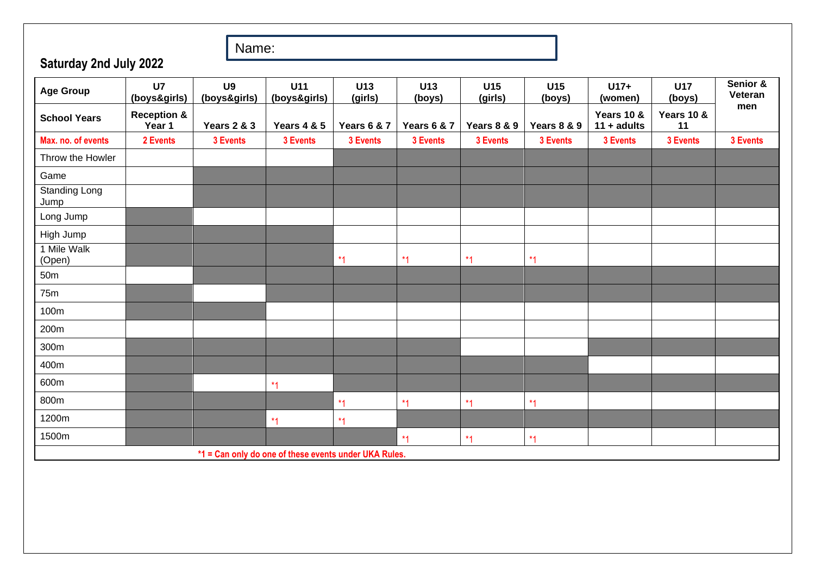Name:

**Saturday 2nd July 2022**

| <b>Age Group</b>                                      | U <sub>7</sub><br>(boys&girls)   | U <sub>9</sub><br>(boys&girls) | U11<br>(boys&girls)    | U13<br>(girls)         | U13<br>(boys)          | U15<br>(girls) | U15<br>(boys) | $U17+$<br>(women)           | <b>U17</b><br>(boys)        | Senior &<br>Veteran |
|-------------------------------------------------------|----------------------------------|--------------------------------|------------------------|------------------------|------------------------|----------------|---------------|-----------------------------|-----------------------------|---------------------|
| <b>School Years</b>                                   | <b>Reception &amp;</b><br>Year 1 | Years 2 & 3                    | <b>Years 4 &amp; 5</b> | <b>Years 6 &amp; 7</b> | <b>Years 6 &amp; 7</b> | Years 8 & 9    | Years 8 & 9   | Years 10 &<br>$11 + adults$ | <b>Years 10 &amp;</b><br>11 | men                 |
| Max. no. of events                                    | 2 Events                         | 3 Events                       | 3 Events               | 3 Events               | 3 Events               | 3 Events       | 3 Events      | 3 Events                    | 3 Events                    | 3 Events            |
| Throw the Howler                                      |                                  |                                |                        |                        |                        |                |               |                             |                             |                     |
| Game                                                  |                                  |                                |                        |                        |                        |                |               |                             |                             |                     |
| Standing Long<br>Jump                                 |                                  |                                |                        |                        |                        |                |               |                             |                             |                     |
| Long Jump                                             |                                  |                                |                        |                        |                        |                |               |                             |                             |                     |
| High Jump                                             |                                  |                                |                        |                        |                        |                |               |                             |                             |                     |
| 1 Mile Walk<br>(Open)                                 |                                  |                                |                        | $*1$                   | $*1$                   | $*1$           | $*1$          |                             |                             |                     |
| 50m                                                   |                                  |                                |                        |                        |                        |                |               |                             |                             |                     |
| 75m                                                   |                                  |                                |                        |                        |                        |                |               |                             |                             |                     |
| 100m                                                  |                                  |                                |                        |                        |                        |                |               |                             |                             |                     |
| 200m                                                  |                                  |                                |                        |                        |                        |                |               |                             |                             |                     |
| 300m                                                  |                                  |                                |                        |                        |                        |                |               |                             |                             |                     |
| 400m                                                  |                                  |                                |                        |                        |                        |                |               |                             |                             |                     |
| 600m                                                  |                                  |                                | *1                     |                        |                        |                |               |                             |                             |                     |
| 800m                                                  |                                  |                                |                        | $*1$                   | $*1$                   | $*1$           | $*1$          |                             |                             |                     |
| 1200m                                                 |                                  |                                | $*_{1}$                | $*1$                   |                        |                |               |                             |                             |                     |
| 1500m                                                 |                                  |                                |                        |                        | $*1$                   | $*1$           | $*1$          |                             |                             |                     |
| *1 = Can only do one of these events under UKA Rules. |                                  |                                |                        |                        |                        |                |               |                             |                             |                     |